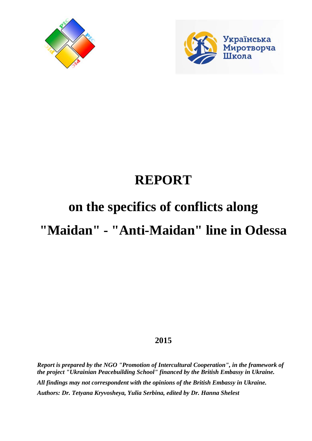



## **REPORT**

# **on the specifics of conflicts along**

### **"Maidan" - "Anti-Maidan" line in Odessa**

### **2015**

*Report is prepared by the NGO "Promotion of Intercultural Cooperation", in the framework of the project "Ukrainian Peacebuilding School" financed by the British Embassy in Ukraine. All findings may not correspondent with the opinions of the British Embassy in Ukraine. Authors: Dr. Tetyana Kryvosheya, Yulia Serbina, edited by Dr. Hanna Shelest*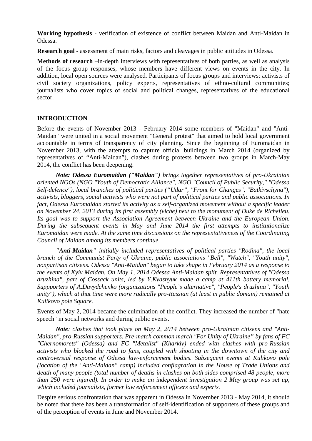**Working hypothesis** - verification of existence of conflict between Maidan and Anti-Maidan in Odessa.

**Research goal** - assessment of main risks, factors and cleavages in public attitudes in Odessa.

**Methods of research** –in-depth interviews with representatives of both parties, as well as analysis of the focus group responses, whose members have different views on events in the city. In addition, local open sources were analysed. Participants of focus groups and interviews: activists of civil society organizations, policy experts, representatives of ethno-cultural communities; journalists who cover topics of social and political changes, representatives of the educational sector.

#### **INTRODUCTION**

Before the events of November 2013 - February 2014 some members of "Maidan" and "Anti-Maidan" were united in a social movement "General protest" that aimed to hold local government accountable in terms of transparency of city planning. Since the beginning of Euromaidan in November 2013, with the attempts to capture official buildings in March 2014 (organized by representatives of "Anti-Maidan"), clashes during protests between two groups in March-May 2014, the conflict has been deepening.

*Note: Odessa Euromaidan ("Maidan") brings together representatives of pro-Ukrainian oriented NGOs (NGO "Youth of Democratic Alliance", NGO "Council of Public Security," "Odessa Self-defence"), local branches of political parties ("Udar", "Front for Changes", "Batkivschyna"), activists, bloggers, social activists who were not part of political parties and public associations. In fact, Odessa Euromaidan started its activity as a self-organized movement without a specific leader on November 24, 2013 during its first assembly (viche) next to the monument of Duke de Richelieu. Its goal was to support the Association Agreement between Ukraine and the European Union. During the subsequent events in May and June 2014 the first attempts to institutionalize Euromaidan were made. At the same time discussions on the representativeness of the Coordinating Council of Maidan among its members continue.* 

*"Anti-Maidan" initially included representatives of political parties "Rodina", the local branch of the Communist Party of Ukraine, public associations "Bell", "Watch", "Youth unity", nonpartisan citizens. Odessa "Anti-Maidan" began to take shape in February 2014 as a response to the events of Kyiv Maidan. On May 1, 2014 Odessa Anti-Maidan split. Representatives of "Odessa druzhina", part of Cossack units, led by Y.Kvasnyuk made a camp at 411th battery memorial. Suppporters of A.Davydchenko (organizations "People's alternative", "People's druzhina", "Youth unity"), which at that time were more radically pro-Russian (at least in public domain) remained at Kulikovo pole Square.* 

Events of May 2, 2014 became the culmination of the conflict. They increased the number of "hate speech" in social networks and during public events.

*Note: clashes that took place on May 2, 2014 between pro-Ukrainian citizens and "Anti-Maidan", pro-Russian supporters. Pre-match common march "For Unity of Ukraine" by fans of FC "Chernomorets" (Odessa) and FC "Metalist" (Kharkiv) ended with clashes with pro-Russian activists who blocked the road to fans, coupled with shooting in the downtown of the city and controversial response of Odessa law-enforcement bodies. Subsequent events at Kulikovo pole (location of the "Anti-Maidan" camp) included conflagration in the House of Trade Unions and death of many people (total number of deaths in clashes on both sides comprised 48 people, more than 250 were injured). In order to make an independent investigation 2 May group was set up, which included journalists, former law enforcement officers and experts.* 

Despite serious confrontation that was apparent in Odessa in November 2013 - May 2014, it should be noted that there has been a transformation of self-identification of supporters of these groups and of the perception of events in June and November 2014.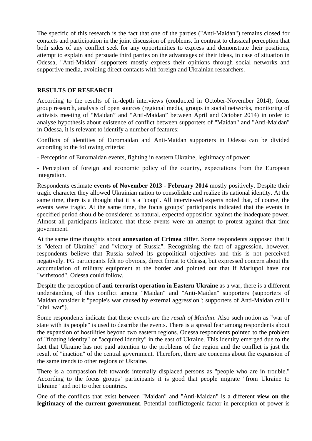The specific of this research is the fact that one of the parties ("Anti-Maidan") remains closed for contacts and participation in the joint discussion of problems. In contrast to classical perception that both sides of any conflict seek for any opportunities to express and demonstrate their positions, attempt to explain and persuade third parties on the advantages of their ideas, in case of situation in Odessa, "Anti-Maidan" supporters mostly express their opinions through social networks and supportive media, avoiding direct contacts with foreign and Ukrainian researchers.

#### **RESULTS OF RESEARCH**

According to the results of in-depth interviews (conducted in October-November 2014), focus group research, analysis of open sources (regional media, groups in social networks, monitoring of activists meeting of "Maidan" and "Anti-Maidan" between April and October 2014) in order to analyse hypothesis about existence of conflict between supporters of "Maidan" and "Anti-Maidan" in Odessa, it is relevant to identify a number of features:

Conflicts of identities of Euromaidan and Anti-Maidan supporters in Odessa can be divided according to the following criteria:

- Perception of Euromaidan events, fighting in eastern Ukraine, legitimacy of power;

- Perception of foreign and economic policy of the country, expectations from the European integration.

Respondents estimate **events of November 2013 - February 2014** mostly positively. Despite their tragic character they allowed Ukrainian nation to consolidate and realize its national identity. At the same time, there is a thought that it is a "coup". All interviewed experts noted that, of course, the events were tragic. At the same time, the focus groups' participants indicated that the events in specified period should be considered as natural, expected opposition against the inadequate power. Almost all participants indicated that these events were an attempt to protest against that time government.

At the same time thoughts about **annexation of Crimea** differ. Some respondents supposed that it is "defeat of Ukraine" and "victory of Russia". Recognizing the fact of aggression, however, respondents believe that Russia solved its geopolitical objectives and this is not perceived negatively. FG participants felt no obvious, direct threat to Odessa, but expressed concern about the accumulation of military equipment at the border and pointed out that if Mariupol have not "withstood", Odessa could follow.

Despite the perception of **anti-terrorist operation in Eastern Ukraine** as a war, there is a different understanding of this conflict among "Maidan" and "Anti-Maidan" supporters (supporters of Maidan consider it "people's war caused by external aggression"; supporters of Anti-Maidan call it "civil war").

Some respondents indicate that these events are the *result of Maidan*. Also such notion as "war of state with its people" is used to describe the events. There is a spread fear among respondents about the expansion of hostilities beyond two eastern regions. Odessa respondents pointed to the problem of "floating identity" or "acquired identity" in the east of Ukraine. This identity emerged due to the fact that Ukraine has not paid attention to the problems of the region and the conflict is just the result of "inaction" of the central government. Therefore, there are concerns about the expansion of the same trends to other regions of Ukraine.

There is a compassion felt towards internally displaced persons as "people who are in trouble." According to the focus groups' participants it is good that people migrate "from Ukraine to Ukraine" and not to other countries.

One of the conflicts that exist between "Maidan" and "Anti-Maidan" is a different **view on the legitimacy of the current government**. Potential conflictogenic factor in perception of power is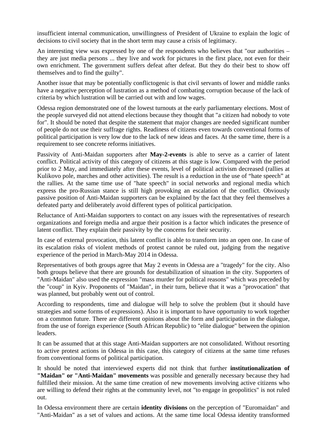insufficient internal communication, unwillingness of President of Ukraine to explain the logic of decisions to civil society that in the short term may cause a crisis of legitimacy.

An interesting view was expressed by one of the respondents who believes that "our authorities – they are just media persons ... they live and work for pictures in the first place, not even for their own enrichment. The government suffers defeat after defeat. But they do their best to show off themselves and to find the guilty".

Another issue that may be potentially conflictogenic is that civil servants of lower and middle ranks have a negative perception of lustration as a method of combating corruption because of the lack of criteria by which lustration will be carried out with and low wages.

Odessa region demonstrated one of the lowest turnouts at the early parliamentary elections. Most of the people surveyed did not attend elections because they thought that "a citizen had nobody to vote for". It should be noted that despite the statement that major changes are needed significant number of people do not use their suffrage rights. Readiness of citizens even towards conventional forms of political participation is very low due to the lack of new ideas and faces. At the same time, there is a requirement to see concrete reforms initiatives.

Passivity of Anti-Maidan supporters after **May-2-events** is able to serve as a carrier of latent conflict. Political activity of this category of citizens at this stage is low. Compared with the period prior to 2 May, and immediately after these events, level of political activism decreased (rallies at Kulikovo pole, marches and other activities). The result is a reduction in the use of "hate speech" at the rallies. At the same time use of "hate speech" in social networks and regional media which express the pro-Russian stance is still high provoking an escalation of the conflict. Obviously passive position of Anti-Maidan supporters can be explained by the fact that they feel themselves a defeated party and deliberately avoid different types of political participation.

Reluctance of Anti-Maidan supporters to contact on any issues with the representatives of research organizations and foreign media and argue their position is a factor which indicates the presence of latent conflict. They explain their passivity by the concerns for their security.

In case of external provocation, this latent conflict is able to transform into an open one. In case of its escalation risks of violent methods of protest cannot be ruled out, judging from the negative experience of the period in March-May 2014 in Odessa.

Representatives of both groups agree that May 2 events in Odessa are a "tragedy" for the city. Also both groups believe that there are grounds for destabilization of situation in the city. Supporters of "Anti-Maidan" also used the expression "mass murder for political reasons" which was preceded by the "coup" in Kyiv. Proponents of "Maidan", in their turn, believe that it was a "provocation" that was planned, but probably went out of control.

According to respondents, time and dialogue will help to solve the problem (but it should have strategies and some forms of expressions). Also it is important to have opportunity to work together on a common future. There are different opinions about the form and participation in the dialogue, from the use of foreign experience (South African Republic) to "elite dialogue" between the opinion leaders.

It can be assumed that at this stage Anti-Maidan supporters are not consolidated. Without resorting to active protest actions in Odessa in this case, this category of citizens at the same time refuses from conventional forms of political participation.

It should be noted that interviewed experts did not think that further **institutionalization of "Maidan" or "Anti-Maidan" movements** was possible and generally necessary because they had fulfilled their mission. At the same time creation of new movements involving active citizens who are willing to defend their rights at the community level, not "to engage in geopolitics" is not ruled out.

In Odessa environment there are certain **identity divisions** on the perception of "Euromaidan" and "Anti-Maidan" as a set of values and actions. At the same time local Odessa identity transformed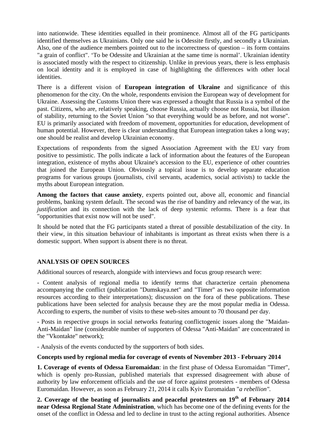into nationwide. These identities equalled in their prominence. Almost all of the FG participants identified themselves as Ukrainians. Only one said he is Odessite firstly, and secondly a Ukrainian. Also, one of the audience members pointed out to the incorrectness of question – its form contains "a grain of conflict". 'To be Odessite and Ukrainian at the same time is normal'. Ukrainian identity is associated mostly with the respect to citizenship. Unlike in previous years, there is less emphasis on local identity and it is employed in case of highlighting the differences with other local identities.

There is a different vision of **European integration of Ukraine** and significance of this phenomenon for the city. On the whole, respondents envision the European way of development for Ukraine. Assessing the Customs Union there was expressed a thought that Russia is a symbol of the past. Citizens, who are, relatively speaking, choose Russia, actually choose not Russia, but illusion of stability, returning to the Soviet Union "so that everything would be as before, and not worse". EU is primarily associated with freedom of movement, opportunities for education, development of human potential. However, there is clear understanding that European integration takes a long way; one should be realist and develop Ukrainian economy.

Expectations of respondents from the signed Association Agreement with the EU vary from positive to pessimistic. The polls indicate a lack of information about the features of the European integration, existence of myths about Ukraine's accession to the EU, experience of other countries that joined the European Union. Obviously a topical issue is to develop separate education programs for various groups (journalists, civil servants, academics, social activists) to tackle the myths about European integration.

**Among the factors that cause anxiety**, experts pointed out, above all, economic and financial problems, banking system default. The second was the rise of banditry and relevancy of the war, its *justification* and its connection with the lack of deep systemic reforms. There is a fear that "opportunities that exist now will not be used".

It should be noted that the FG participants stated a threat of possible destabilization of the city. In their view, in this situation behaviour of inhabitants is important as threat exists when there is a domestic support. When support is absent there is no threat.

#### **ANALYSIS OF OPEN SOURCES**

Additional sources of research, alongside with interviews and focus group research were:

- Content analysis of regional media to identify terms that characterize certain phenomena accompanying the conflict (publication "Dumskaya.net" and "Timer" as two opposite information resources according to their interpretations); discussion on the fora of these publications. These publications have been selected for analysis because they are the most popular media in Odessa. According to experts, the number of visits to these web-sites amount to 70 thousand per day.

- Posts in respective groups in social networks featuring conflictogenic issues along the "Maidan-Anti-Maidan" line (considerable number of supporters of Odessa "Anti-Maidan" are concentrated in the "Vkontakte" network);

- Analysis of the events conducted by the supporters of both sides.

#### **Concepts used by regional media for coverage of events of November 2013 - February 2014**

**1. Coverage of events of Odessa Euromaidan**: in the first phase of Odessa Euromaidan "Timer", which is openly pro-Russian, published materials that expressed disagreement with abuse of authority by law enforcement officials and the use of force against protesters - members of Odessa Euromaidan. However, as soon as February 21, 2014 it calls Kyiv Euromaidan "*a rebellion".*

**2. Coverage of the beating of journalists and peaceful protesters on 19th of February 2014 near Odessa Regional State Administration**, which has become one of the defining events for the onset of the conflict in Odessa and led to decline in trust to the acting regional authorities. Absence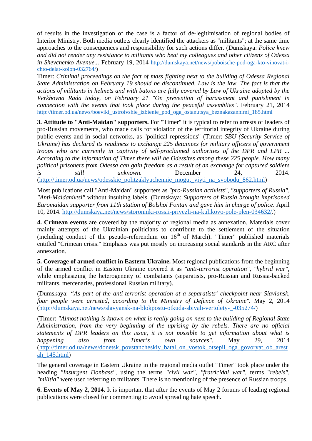of results in the investigation of the case is a factor of de-legitimisation of regional bodies of Interior Ministry. Both media outlets clearly identified the attackers as "militants"; at the same time approaches to the consequences and responsibility for such actions differ. (Dumskaya: *Police knew and did not render any resistance to militants who beat my colleagues and other citizens of Odessa in Shevchenko Avenue...* February 19, 2014 http://dumskaya.net/news/poboische-pod-oga-kto-vinovat-ichto-delat-kolon-032764/)

Timer: *Criminal proceedings on the fact of mass fighting next to the building of Odessa Regional State Administration on February 19 should be discontinued. Law is the law. The fact is that the actions of militants in helmets and with batons are fully covered by Law of Ukraine adopted by the Verkhovna Rada today, on February 21 "On prevention of harassment and punishment in connection with the events that took place during the peaceful assemblies".* February 21, 2014 http://timer.od.ua/news/boeviki\_ustroivshie\_izbienie\_pod\_oga\_ostanutsya\_beznakazannimi\_185.html

**3. Attitude to "Anti-Maidan" supporters.** For "Timer" it is typical to refer to arrests of leaders of pro-Russian movements, who made calls for violation of the territorial integrity of Ukraine during public events and in social networks, as "political repressions" (Timer: *SBU (Security Service of Ukraine) has declared its readiness to exchange 225 detainees for military officers of government troops who are currently in captivity of self-proclaimed authorities of the DPR and LPR ... According to the information of Timer there will be Odessites among these 225 people. How many political prisoners from Odessa can gain freedom as a result of an exchange for captured soldiers is still unknown.* December 24, 2014. (http://timer.od.ua/news/odesskie\_politzaklyuchennie\_mogut\_viyti\_na\_svobodu\_862.html)

Most publications call "Anti-Maidan" supporters as *"pro-Russian activists", "supporters of Russia", "Anti-Maidanivtsi"* without insulting labels. (Dumskaya: *Supporters of Russia brought imprisoned Euromaidan supporter from 11th station of Bolshoi Fontan and gave him in charge of police*. April 10, 2014. http://dumskaya.net/news/storonniki-rossii-privezli-na-kulikovo-pole-plen-034632/.)

**4. Crimean events** are covered by the majority of regional media as annexation. Materials cover mainly attempts of the Ukrainian politicians to contribute to the settlement of the situation (including conduct of the pseudo-referendum on  $16<sup>th</sup>$  of March). "Timer" published materials entitled "Crimean crisis." Emphasis was put mostly on increasing social standards in the ARC after annexation.

**5. Coverage of armed conflict in Eastern Ukraine.** Most regional publications from the beginning of the armed conflict in Eastern Ukraine covered it as *"anti-terrorist operation", "hybrid war"*, while emphasizing the heterogeneity of combatants (separatists, pro-Russian and Russia-backed militants, mercenaries, professional Russian military).

(Dumskaya: *"As part of the anti-terrorist operation at a separatists' checkpoint near Slaviansk, four people were arrested, according to the Ministry of Defence of Ukraine".* May 2, 2014 (http://dumskaya.net/news/slavyansk-na-blokpostu-otkuda-sbivali-vertolety-\_-035274/)

(Timer: *"Almost nothing is known on what is really going on next to the building of Regional State Administration, from the very beginning of the uprising by the rebels. There are no official statements of DPR leaders on this issue, it is not possible to get information about what is happening also from Timer's own sources"*. May 29, 2014 (http://timer.od.ua/news/donetsk\_povstancheskiy\_batal\_on\_vostok\_otsepil\_oga\_govoryat\_ob\_arest ah\_145.html)

The general coverage in Eastern Ukraine in the regional media outlet "Timer" took place under the heading *"Insurgent Donbass"*, using the terms *"civil war", "fratricidal war"*, terms "*rebels", "militia"* were used referring to militants. There is no mentioning of the presence of Russian troops.

**6. Events of May 2, 2014.** It is important that after the events of May 2 forums of leading regional publications were closed for commenting to avoid spreading hate speech.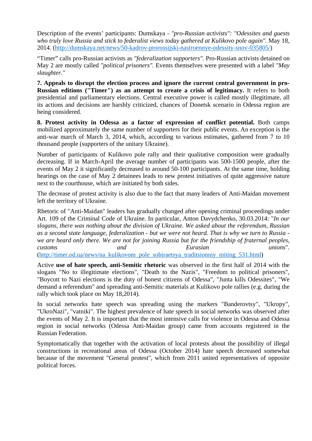Description of the events' participants: Dumskaya - *"pro-Russian activists": "Odessites and guests who truly love Russia and stick to federalist views today gathered at Kulikovo pole again".* May 18, 2014. (http://dumskaya.net/news/50-kadrov-prorossijski-nastroennye-odessity-snov-035805/)

"Timer" calls pro-Russian activists as *"federalization supporters".* Pro-Russian activists detained on May 2 are mostly called *"political prisoners".* Events themselves were presented with a label *"May slaughter."*

**7. Appeals to disrupt the election process and ignore the current central government in pro-Russian editions ("Timer") as an attempt to create a crisis of legitimacy.** It refers to both presidential and parliamentary elections. Central executive power is called mostly illegitimate, all its actions and decisions are harshly criticized, chances of Donetsk scenario in Odessa region are being considered.

**8. Protest activity in Odessa as a factor of expression of conflict potential.** Both camps mobilized approximately the same number of supporters for their public events. An exception is the anti-war march of March 3, 2014, which, according to various estimates, gathered from 7 to 10 thousand people (supporters of the unitary Ukraine).

Number of participants of Kulikovo pole rally and their qualitative composition were gradually decreasing. If in March-April the average number of participants was 500-1500 people, after the events of May 2 it significantly decreased to around 50-100 participants. At the same time, holding hearings on the case of May 2 detainees leads to new protest initiatives of quite aggressive nature next to the courthouse, which are initiated by both sides.

The decrease of protest activity is also due to the fact that many leaders of Anti-Maidan movement left the territory of Ukraine.

Rhetoric of "Anti-Maidan" leaders has gradually changed after opening criminal proceedings under Art. 109 of the Criminal Code of Ukraine. In particular, Anton Davydchenko, 30.03.2014: "*In our slogans, there was nothing about the division of Ukraine. We asked about the referendum, Russian as a second state language, federalization - but we were not heard. That is why we turn to Russia we are heard only there. We are not for joining Russia but for the friendship of fraternal peoples, customs and Eurasian unions*".

(http://timer.od.ua/news/na\_kulikovom\_pole\_sobiraetsya\_traditsionniy\_miting\_531.html)

Active **use of hate speech, anti-Semitic rhetoric** was observed in the first half of 2014 with the slogans "No to illegitimate elections", "Death to the Nazis", "Freedom to political prisoners", "Boycott to Nazi elections is the duty of honest citizens of Odessa", "Junta kills Odessites", "We demand a referendum" and spreading anti-Semitic materials at Kulikovo pole rallies (e.g. during the rally which took place on May 18,2014).

In social networks hate speech was spreading using the markers "Banderovtsy", "Ukropy", "UkroNazi", "vatniki". The highest prevalence of hate speech in social networks was observed after the events of May 2. It is important that the most intensive calls for violence in Odessa and Odessa region in social networks (Odessa Anti-Maidan group) came from accounts registered in the Russian Federation.

Symptomatically that together with the activation of local protests about the possibility of illegal constructions in recreational areas of Odessa (October 2014) hate speech decreased somewhat because of the movement "General protest", which from 2011 united representatives of opposite political forces.